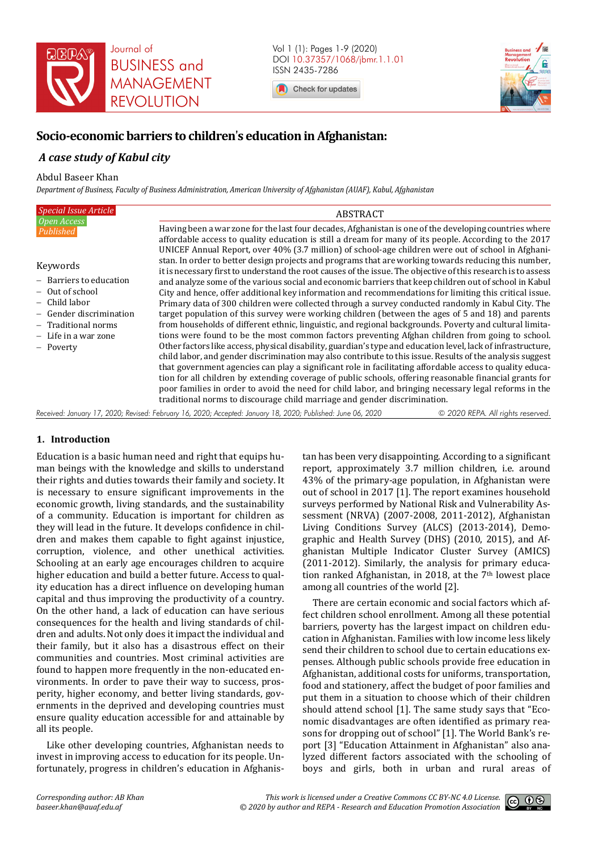

Vol 1 (1): Pages 1-9 (2020) DOI 10.37357/1068/jbmr.1.1.01 ISSN 2435-7286

Check for updates



# **Socio-economic barriers to children**'**s education in Afghanistan:**

## *A case study of Kabul city*

Abdul Baseer Khan

*Department of Business, Faculty of Business Administration, American University of Afghanistan (AUAF), Kabul, Afghanistan* 

| Special Issue Article                          | <b>ABSTRACT</b>                                                                                                                                                                                                                                                                                                                                                                                                                                                                                                                                                                                                                        |
|------------------------------------------------|----------------------------------------------------------------------------------------------------------------------------------------------------------------------------------------------------------------------------------------------------------------------------------------------------------------------------------------------------------------------------------------------------------------------------------------------------------------------------------------------------------------------------------------------------------------------------------------------------------------------------------------|
| $\overline{Open \, Access}$<br>Published       | Having been a war zone for the last four decades, Afghanistan is one of the developing countries where<br>affordable access to quality education is still a dream for many of its people. According to the 2017                                                                                                                                                                                                                                                                                                                                                                                                                        |
| Keywords<br>- Barriers to education            | UNICEF Annual Report, over 40% (3.7 million) of school-age children were out of school in Afghani-<br>stan. In order to better design projects and programs that are working towards reducing this number,<br>it is necessary first to understand the root causes of the issue. The objective of this research is to assess                                                                                                                                                                                                                                                                                                            |
| – Out of school                                | and analyze some of the various social and economic barriers that keep children out of school in Kabul<br>City and hence, offer additional key information and recommendations for limiting this critical issue.                                                                                                                                                                                                                                                                                                                                                                                                                       |
| –  Child labor                                 | Primary data of 300 children were collected through a survey conducted randomly in Kabul City. The                                                                                                                                                                                                                                                                                                                                                                                                                                                                                                                                     |
| - Gender discrimination<br>- Traditional norms | target population of this survey were working children (between the ages of 5 and 18) and parents<br>from households of different ethnic, linguistic, and regional backgrounds. Poverty and cultural limita-                                                                                                                                                                                                                                                                                                                                                                                                                           |
| - Life in a war zone                           | tions were found to be the most common factors preventing Afghan children from going to school.                                                                                                                                                                                                                                                                                                                                                                                                                                                                                                                                        |
| - Poverty                                      | Other factors like access, physical disability, guardian's type and education level, lack of infrastructure,<br>child labor, and gender discrimination may also contribute to this issue. Results of the analysis suggest<br>that government agencies can play a significant role in facilitating affordable access to quality educa-<br>tion for all children by extending coverage of public schools, offering reasonable financial grants for<br>poor families in order to avoid the need for child labor, and bringing necessary legal reforms in the<br>traditional norms to discourage child marriage and gender discrimination. |
|                                                |                                                                                                                                                                                                                                                                                                                                                                                                                                                                                                                                                                                                                                        |

*Received: January 17, 2020; Revised: February 16, 2020; Accepted: January 18, 2020; Published: June 06, 2020 © 2020 REPA. All rights reserved.*

## **1. Introduction**

Education is a basic human need and right that equips human beings with the knowledge and skills to understand their rights and duties towards their family and society. It is necessary to ensure significant improvements in the economic growth, living standards, and the sustainability of a community. Education is important for children as they will lead in the future. It develops confidence in children and makes them capable to fight against injustice, corruption, violence, and other unethical activities. Schooling at an early age encourages children to acquire higher education and build a better future. Access to quality education has a direct influence on developing human capital and thus improving the productivity of a country. On the other hand, a lack of education can have serious consequences for the health and living standards of children and adults. Not only does it impact the individual and their family, but it also has a disastrous effect on their communities and countries. Most criminal activities are found to happen more frequently in the non-educated environments. In order to pave their way to success, prosperity, higher economy, and better living standards, governments in the deprived and developing countries must ensure quality education accessible for and attainable by all its people.

Like other developing countries, Afghanistan needs to invest in improving access to education for its people. Unfortunately, progress in children's education in Afghanistan has been very disappointing. According to a significant report, approximately 3.7 million children, i.e. around 43% of the primary-age population, in Afghanistan were out of school in 2017 [1]. The report examines household surveys performed by National Risk and Vulnerability Assessment (NRVA) (2007-2008, 2011-2012), Afghanistan Living Conditions Survey (ALCS) (2013-2014), Demographic and Health Survey (DHS) (2010, 2015), and Afghanistan Multiple Indicator Cluster Survey (AMICS) (2011-2012). Similarly, the analysis for primary education ranked Afghanistan, in 2018, at the 7<sup>th</sup> lowest place among all countries of the world [2].

There are certain economic and social factors which affect children school enrollment. Among all these potential barriers, poverty has the largest impact on children education in Afghanistan. Families with low income less likely send their children to school due to certain educations expenses. Although public schools provide free education in Afghanistan, additional costs for uniforms, transportation, food and stationery, affect the budget of poor families and put them in a situation to choose which of their children should attend school [1]. The same study says that "Economic disadvantages are often identified as primary reasons for dropping out of school" [1]. The World Bank's report [3] "Education Attainment in Afghanistan" also analyzed different factors associated with the schooling of boys and girls, both in urban and rural areas of

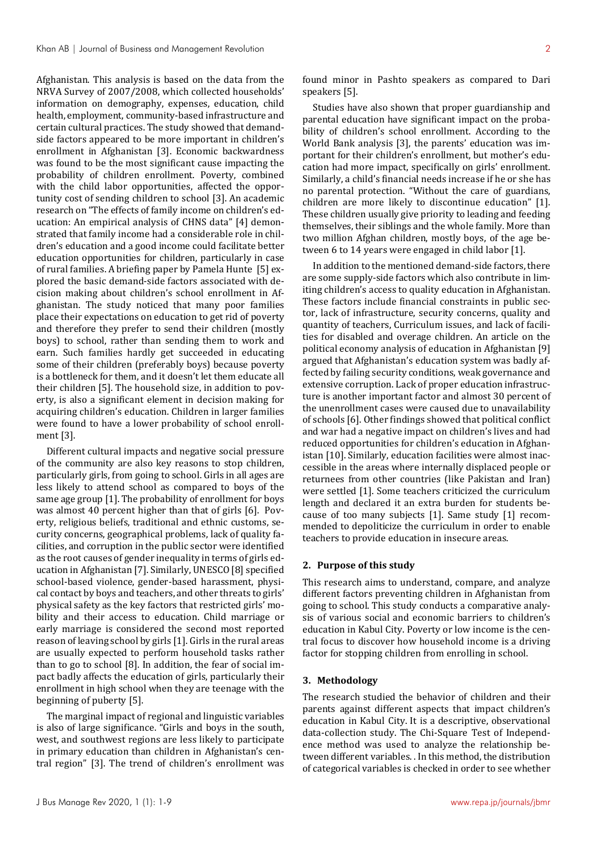Afghanistan. This analysis is based on the data from the NRVA Survey of 2007/2008, which collected households' information on demography, expenses, education, child health, employment, community-based infrastructure and certain cultural practices. The study showed that demandside factors appeared to be more important in children's enrollment in Afghanistan [3]. Economic backwardness was found to be the most significant cause impacting the probability of children enrollment. Poverty, combined with the child labor opportunities, affected the opportunity cost of sending children to school [3]. An academic research on "The effects of family income on children's education: An empirical analysis of CHNS data" [4] demonstrated that family income had a considerable role in children's education and a good income could facilitate better education opportunities for children, particularly in case of rural families. A briefing paper by Pamela Hunte [5] explored the basic demand-side factors associated with decision making about children's school enrollment in Afghanistan. The study noticed that many poor families place their expectations on education to get rid of poverty and therefore they prefer to send their children (mostly boys) to school, rather than sending them to work and earn. Such families hardly get succeeded in educating some of their children (preferably boys) because poverty is a bottleneck for them, and it doesn't let them educate all their children [5]. The household size, in addition to poverty, is also a significant element in decision making for acquiring children's education. Children in larger families were found to have a lower probability of school enrollment [3].

Different cultural impacts and negative social pressure of the community are also key reasons to stop children, particularly girls, from going to school. Girls in all ages are less likely to attend school as compared to boys of the same age group [1]. The probability of enrollment for boys was almost 40 percent higher than that of girls [6]. Poverty, religious beliefs, traditional and ethnic customs, security concerns, geographical problems, lack of quality facilities, and corruption in the public sector were identified as the root causes of gender inequality in terms of girls education in Afghanistan [7]. Similarly, UNESCO [8] specified school-based violence, gender-based harassment, physical contact by boys and teachers, and other threats to girls' physical safety as the key factors that restricted girls' mobility and their access to education. Child marriage or early marriage is considered the second most reported reason of leaving school by girls [1]. Girls in the rural areas are usually expected to perform household tasks rather than to go to school [8]. In addition, the fear of social impact badly affects the education of girls, particularly their enrollment in high school when they are teenage with the beginning of puberty [5].

The marginal impact of regional and linguistic variables is also of large significance. "Girls and boys in the south, west, and southwest regions are less likely to participate in primary education than children in Afghanistan's central region" [3]. The trend of children's enrollment was found minor in Pashto speakers as compared to Dari speakers [5].

Studies have also shown that proper guardianship and parental education have significant impact on the probability of children's school enrollment. According to the World Bank analysis [3], the parents' education was important for their children's enrollment, but mother's education had more impact, specifically on girls' enrollment. Similarly, a child's financial needs increase if he or she has no parental protection. "Without the care of guardians, children are more likely to discontinue education" [1]. These children usually give priority to leading and feeding themselves, their siblings and the whole family. More than two million Afghan children, mostly boys, of the age between 6 to 14 years were engaged in child labor [1].

In addition to the mentioned demand-side factors, there are some supply-side factors which also contribute in limiting children's access to quality education in Afghanistan. These factors include financial constraints in public sector, lack of infrastructure, security concerns, quality and quantity of teachers, Curriculum issues, and lack of facilities for disabled and overage children. An article on the political economy analysis of education in Afghanistan [9] argued that Afghanistan's education system was badly affected by failing security conditions, weak governance and extensive corruption. Lack of proper education infrastructure is another important factor and almost 30 percent of the unenrollment cases were caused due to unavailability of schools [6]. Other findings showed that political conflict and war had a negative impact on children's lives and had reduced opportunities for children's education in Afghanistan [10]. Similarly, education facilities were almost inaccessible in the areas where internally displaced people or returnees from other countries (like Pakistan and Iran) were settled [1]. Some teachers criticized the curriculum length and declared it an extra burden for students because of too many subjects [1]. Same study [1] recommended to depoliticize the curriculum in order to enable teachers to provide education in insecure areas.

## **2. Purpose of this study**

This research aims to understand, compare, and analyze different factors preventing children in Afghanistan from going to school. This study conducts a comparative analysis of various social and economic barriers to children's education in Kabul City. Poverty or low income is the central focus to discover how household income is a driving factor for stopping children from enrolling in school.

## **3. Methodology**

The research studied the behavior of children and their parents against different aspects that impact children's education in Kabul City. It is a descriptive, observational data-collection study. The Chi-Square Test of Independence method was used to analyze the relationship between different variables. . In this method, the distribution of categorical variables is checked in order to see whether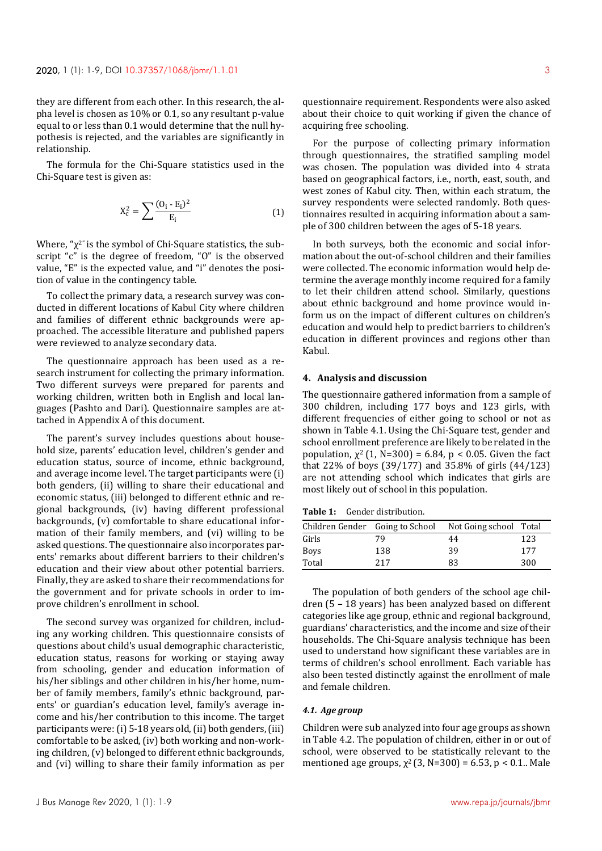they are different from each other. In this research, the alpha level is chosen as 10% or 0.1, so any resultant p-value equal to or less than 0.1 would determine that the null hypothesis is rejected, and the variables are significantly in relationship.

The formula for the Chi-Square statistics used in the Chi-Square test is given as:

$$
X_c^2 = \sum \frac{(O_i - E_i)^2}{E_i} \tag{1}
$$

Where, " $\chi^{2}$ " is the symbol of Chi-Square statistics, the subscript "c" is the degree of freedom, "O" is the observed value, "E" is the expected value, and "i" denotes the position of value in the contingency table.

To collect the primary data, a research survey was conducted in different locations of Kabul City where children and families of different ethnic backgrounds were approached. The accessible literature and published papers were reviewed to analyze secondary data.

The questionnaire approach has been used as a research instrument for collecting the primary information. Two different surveys were prepared for parents and working children, written both in English and local languages (Pashto and Dari). Questionnaire samples are attached in Appendix A of this document.

The parent's survey includes questions about household size, parents' education level, children's gender and education status, source of income, ethnic background, and average income level. The target participants were (i) both genders, (ii) willing to share their educational and economic status, (iii) belonged to different ethnic and regional backgrounds, (iv) having different professional backgrounds, (v) comfortable to share educational information of their family members, and (vi) willing to be asked questions. The questionnaire also incorporates parents' remarks about different barriers to their children's education and their view about other potential barriers. Finally, they are asked to share their recommendations for the government and for private schools in order to improve children's enrollment in school.

The second survey was organized for children, including any working children. This questionnaire consists of questions about child's usual demographic characteristic, education status, reasons for working or staying away from schooling, gender and education information of his/her siblings and other children in his/her home, number of family members, family's ethnic background, parents' or guardian's education level, family's average income and his/her contribution to this income. The target participants were: (i) 5-18 years old, (ii) both genders, (iii) comfortable to be asked, (iv) both working and non-working children, (v) belonged to different ethnic backgrounds, and (vi) willing to share their family information as per

questionnaire requirement. Respondents were also asked about their choice to quit working if given the chance of acquiring free schooling.

For the purpose of collecting primary information through questionnaires, the stratified sampling model was chosen. The population was divided into 4 strata based on geographical factors, i.e., north, east, south, and west zones of Kabul city. Then, within each stratum, the survey respondents were selected randomly. Both questionnaires resulted in acquiring information about a sample of 300 children between the ages of 5-18 years.

In both surveys, both the economic and social information about the out-of-school children and their families were collected. The economic information would help determine the average monthly income required for a family to let their children attend school. Similarly, questions about ethnic background and home province would inform us on the impact of different cultures on children's education and would help to predict barriers to children's education in different provinces and regions other than Kabul.

## **4. Analysis and discussion**

The questionnaire gathered information from a sample of 300 children, including 177 boys and 123 girls, with different frequencies of either going to school or not as shown in Table 4.1. Using the Chi-Square test, gender and school enrollment preference are likely to be related in the population,  $\chi^2$  (1, N=300) = 6.84, p < 0.05. Given the fact that 22% of boys (39/177) and 35.8% of girls (44/123) are not attending school which indicates that girls are most likely out of school in this population.

**Table 1:** Gender distribution.

|             |     | Children Gender Going to School Not Going school Total |     |
|-------------|-----|--------------------------------------------------------|-----|
| Girls       | 79  | 44                                                     | 123 |
| <b>Boys</b> | 138 | 39                                                     | 177 |
| Total       | 217 | 83                                                     | 300 |

The population of both genders of the school age children (5 – 18 years) has been analyzed based on different categories like age group, ethnic and regional background, guardians' characteristics, and the income and size of their households. The Chi-Square analysis technique has been used to understand how significant these variables are in terms of children's school enrollment. Each variable has also been tested distinctly against the enrollment of male and female children.

## *4.1. Age group*

Children were sub analyzed into four age groups as shown in Table 4.2. The population of children, either in or out of school, were observed to be statistically relevant to the mentioned age groups,  $\chi^2$  (3, N=300) = 6.53, p < 0.1.. Male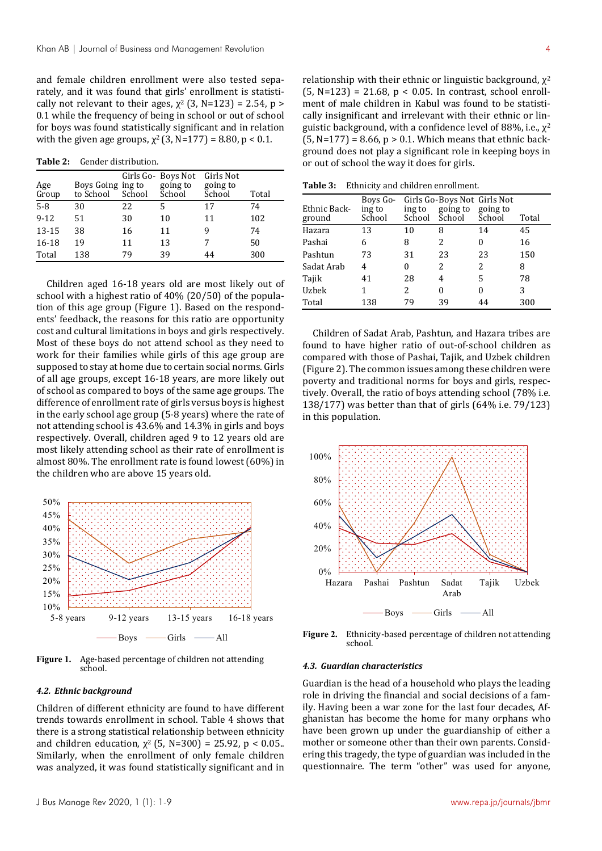and female children enrollment were also tested separately, and it was found that girls' enrollment is statistically not relevant to their ages,  $\chi^2$  (3, N=123) = 2.54, p > 0.1 while the frequency of being in school or out of school for boys was found statistically significant and in relation with the given age groups,  $\chi^2$  (3, N=177) = 8.80, p < 0.1.

**Table 2:** Gender distribution.

| Age<br>Group | Boys Going ing to<br>to School | School | Girls Go- Boys Not<br>going to<br>School | Girls Not<br>going to<br>School | Total |
|--------------|--------------------------------|--------|------------------------------------------|---------------------------------|-------|
| $5 - 8$      | 30                             | 22     | 5                                        | 17                              | 74    |
| $9 - 12$     | 51                             | 30     | 10                                       | 11                              | 102   |
| 13-15        | 38                             | 16     | 11                                       | 9                               | 74    |
| 16-18        | 19                             | 11     | 13                                       |                                 | 50    |
| Total        | 138                            | 79     | 39                                       | 44                              | 300   |

Children aged 16-18 years old are most likely out of school with a highest ratio of 40% (20/50) of the population of this age group (Figure 1). Based on the respondents' feedback, the reasons for this ratio are opportunity cost and cultural limitations in boys and girls respectively. Most of these boys do not attend school as they need to work for their families while girls of this age group are supposed to stay at home due to certain social norms. Girls of all age groups, except 16-18 years, are more likely out of school as compared to boys of the same age groups. The difference of enrollment rate of girls versus boys is highest in the early school age group (5-8 years) where the rate of not attending school is 43.6% and 14.3% in girls and boys respectively. Overall, children aged 9 to 12 years old are most likely attending school as their rate of enrollment is almost 80%. The enrollment rate is found lowest (60%) in the children who are above 15 years old.



**Figure 1.** Age-based percentage of children not attending school.

#### *4.2. Ethnic background*

Children of different ethnicity are found to have different trends towards enrollment in school. Table 4 shows that there is a strong statistical relationship between ethnicity and children education,  $\chi^2$  (5, N=300) = 25.92, p < 0.05. Similarly, when the enrollment of only female children was analyzed, it was found statistically significant and in relationship with their ethnic or linguistic background,  $\chi^2$  $(5, N=123) = 21.68$ ,  $p < 0.05$ . In contrast, school enrollment of male children in Kabul was found to be statistically insignificant and irrelevant with their ethnic or linguistic background, with a confidence level of 88%, i.e.,  $\chi^2$  $(5, N=177) = 8.66$ ,  $p > 0.1$ . Which means that ethnic background does not play a significant role in keeping boys in or out of school the way it does for girls.

**Table 3:** Ethnicity and children enrollment.

| Ethnic Back-<br>ground | Boys Go-<br>ing to<br>School | ing to<br>School | Girls Go-Boys Not Girls Not<br>going to<br>School | going to<br>School | Total |
|------------------------|------------------------------|------------------|---------------------------------------------------|--------------------|-------|
| Hazara                 | 13                           | 10               | 8                                                 | 14                 | 45    |
| Pashai                 | 6                            | 8                | 2                                                 | 0                  | 16    |
| Pashtun                | 73                           | 31               | 23                                                | 23                 | 150   |
| Sadat Arab             | 4                            | 0                | 2                                                 | 2                  | 8     |
| Tajik                  | 41                           | 28               | 4                                                 | 5                  | 78    |
| Uzbek                  |                              | 2                | 0                                                 | 0                  | 3     |
| Total                  | 138                          | 79               | 39                                                | 44                 | 300   |

Children of Sadat Arab, Pashtun, and Hazara tribes are found to have higher ratio of out-of-school children as compared with those of Pashai, Tajik, and Uzbek children (Figure 2). The common issues among these children were poverty and traditional norms for boys and girls, respectively. Overall, the ratio of boys attending school (78% i.e. 138/177) was better than that of girls (64% i.e. 79/123) in this population.



**Figure 2.** Ethnicity-based percentage of children not attending school.

#### *4.3. Guardian characteristics*

Guardian is the head of a household who plays the leading role in driving the financial and social decisions of a family. Having been a war zone for the last four decades, Afghanistan has become the home for many orphans who have been grown up under the guardianship of either a mother or someone other than their own parents. Considering this tragedy, the type of guardian was included in the questionnaire. The term "other" was used for anyone,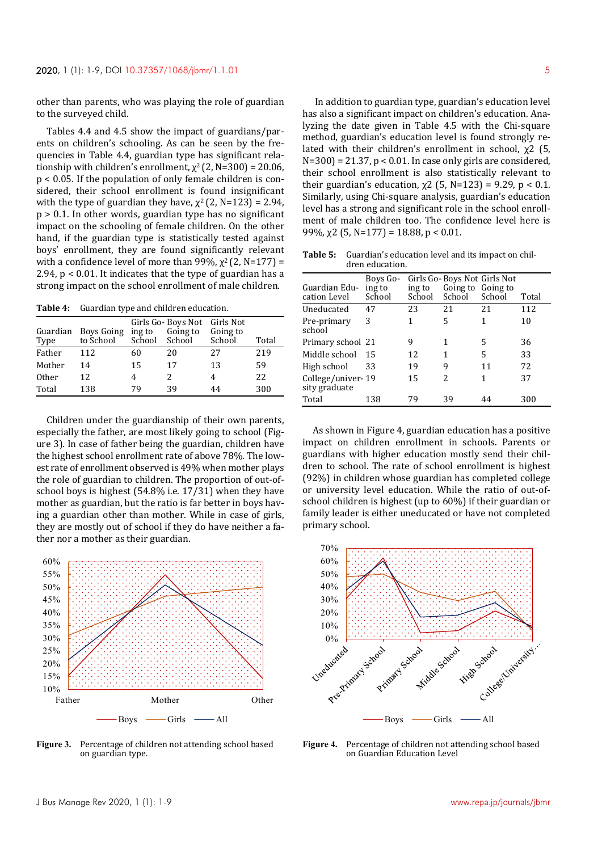other than parents, who was playing the role of guardian to the surveyed child.

Tables 4.4 and 4.5 show the impact of guardians/parents on children's schooling. As can be seen by the frequencies in Table 4.4, guardian type has significant relationship with children's enrollment,  $\chi^2$  (2, N=300) = 20.06, p < 0.05. If the population of only female children is considered, their school enrollment is found insignificant with the type of guardian they have,  $\chi^2$  (2, N=123) = 2.94, p > 0.1. In other words, guardian type has no significant impact on the schooling of female children. On the other hand, if the guardian type is statistically tested against boys' enrollment, they are found significantly relevant with a confidence level of more than 99%,  $\chi^2$  (2, N=177) = 2.94, p < 0.01. It indicates that the type of guardian has a strong impact on the school enrollment of male children.

**Table 4:** Guardian type and children education.

| Guardian<br>Type | Boys Going<br>to School | ing to<br>School | Girls Go- Boys Not<br>Going to<br>School | Girls Not<br>Going to<br>School | Total |
|------------------|-------------------------|------------------|------------------------------------------|---------------------------------|-------|
| Father           | 112                     | 60               | 20                                       | 27                              | 219   |
| Mother           | 14                      | 15               | 17                                       | 13                              | 59    |
| <b>Other</b>     | 12.                     | 4                | 2                                        | 4                               | 22    |
| Total            | 138                     | 79               | 39                                       | 44                              | 300   |

Children under the guardianship of their own parents, especially the father, are most likely going to school (Figure 3). In case of father being the guardian, children have the highest school enrollment rate of above 78%. The lowest rate of enrollment observed is 49% when mother plays the role of guardian to children. The proportion of out-ofschool boys is highest (54.8% i.e. 17/31) when they have mother as guardian, but the ratio is far better in boys having a guardian other than mother. While in case of girls, they are mostly out of school if they do have neither a father nor a mother as their guardian.



**Figure 3.** Percentage of children not attending school based on guardian type.

 In addition to guardian type, guardian's education level has also a significant impact on children's education. Analyzing the date given in Table 4.5 with the Chi-square method, guardian's education level is found strongly related with their children's enrollment in school, χ2 (5,  $N=300$  = 21.37,  $p < 0.01$ . In case only girls are considered, their school enrollment is also statistically relevant to their guardian's education,  $χ2$  (5, N=123) = 9.29, p < 0.1. Similarly, using Chi-square analysis, guardian's education level has a strong and significant role in the school enrollment of male children too. The confidence level here is 99%,  $\chi$ 2 (5, N=177) = 18.88, p < 0.01.

**Table 5:** Guardian's education level and its impact on children education.

| Guardian Edu-<br>cation Level      | Boys Go-<br>ing to<br>School | ing to<br>School | Girls Go-Boys Not Girls Not<br>Going to Going to<br>School | School | Total |
|------------------------------------|------------------------------|------------------|------------------------------------------------------------|--------|-------|
| Uneducated                         | 47                           | 23               | 21                                                         | 2.1    | 112   |
| Pre-primary<br>school              | 3                            | 1                | 5                                                          | 1      | 10    |
| Primary school 21                  |                              | 9                |                                                            | 5      | 36    |
| Middle school                      | 15                           | 12               | 1                                                          | 5      | 33    |
| High school                        | 33                           | 19               | 9                                                          | 11     | 72    |
| College/univer-19<br>sity graduate |                              | 15               | $\mathcal{P}$                                              | 1      | 37    |
| Total                              | 138                          | 79               | 39                                                         | 44     | 300   |

As shown in Figure 4, guardian education has a positive impact on children enrollment in schools. Parents or guardians with higher education mostly send their children to school. The rate of school enrollment is highest (92%) in children whose guardian has completed college or university level education. While the ratio of out-ofschool children is highest (up to 60%) if their guardian or family leader is either uneducated or have not completed primary school.



**Figure 4.** Percentage of children not attending school based on Guardian Education Level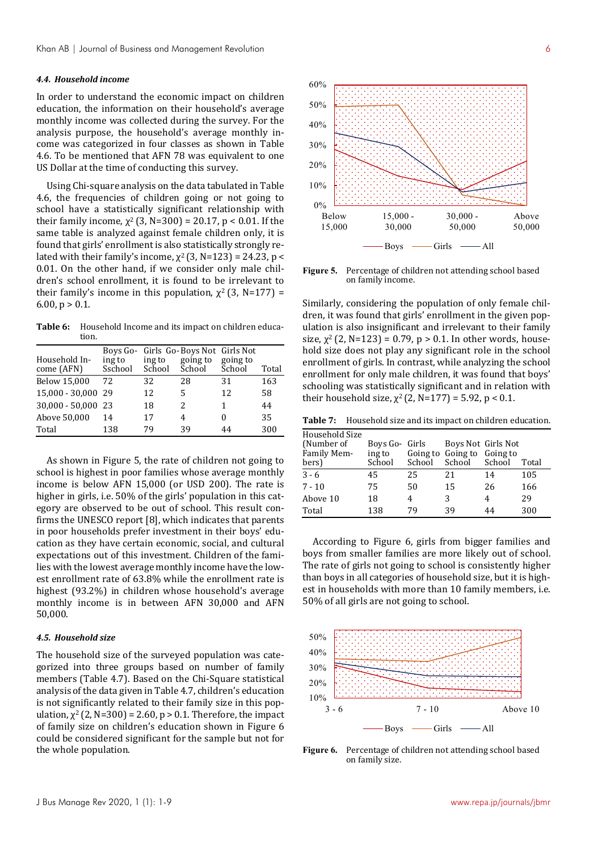#### *4.4. Household income*

In order to understand the economic impact on children education, the information on their household's average monthly income was collected during the survey. For the analysis purpose, the household's average monthly income was categorized in four classes as shown in Table 4.6. To be mentioned that AFN 78 was equivalent to one US Dollar at the time of conducting this survey.

Using Chi-square analysis on the data tabulated in Table 4.6, the frequencies of children going or not going to school have a statistically significant relationship with their family income,  $\chi^2$  (3, N=300) = 20.17, p < 0.01. If the same table is analyzed against female children only, it is found that girls' enrollment is also statistically strongly related with their family's income,  $\chi^2$  (3, N=123) = 24.23, p < 0.01. On the other hand, if we consider only male children's school enrollment, it is found to be irrelevant to their family's income in this population,  $\chi^2$  (3, N=177) = 6.00,  $p > 0.1$ .

**Table 6:** Household Income and its impact on children education.

| Household In-<br>come (AFN) | ing to<br>Sschool | ing to<br>School | Boys Go- Girls Go-Boys Not Girls Not<br>going to<br>School | going to<br>School | Total |
|-----------------------------|-------------------|------------------|------------------------------------------------------------|--------------------|-------|
| Below 15,000                | 72                | 32               | 28                                                         | 31                 | 163   |
| 15,000 - 30,000 29          |                   | 12               | 5                                                          | 12                 | 58    |
| $30,000 - 50,000$           | 23                | 18               | 2                                                          | 1                  | 44    |
| Above 50,000                | 14                | 17               | 4                                                          |                    | 35    |
| Total                       | 138               | 79               | 39                                                         | 44                 | 300   |

As shown in Figure 5, the rate of children not going to school is highest in poor families whose average monthly income is below AFN 15,000 (or USD 200). The rate is higher in girls, i.e. 50% of the girls' population in this category are observed to be out of school. This result confirms the UNESCO report [8], which indicates that parents in poor households prefer investment in their boys' education as they have certain economic, social, and cultural expectations out of this investment. Children of the families with the lowest average monthly income have the lowest enrollment rate of 63.8% while the enrollment rate is highest (93.2%) in children whose household's average monthly income is in between AFN 30,000 and AFN 50,000.

## *4.5. Household size*

The household size of the surveyed population was categorized into three groups based on number of family members (Table 4.7). Based on the Chi-Square statistical analysis of the data given in Table 4.7, children's education is not significantly related to their family size in this population,  $\chi^2$  (2, N=300) = 2.60, p > 0.1. Therefore, the impact of family size on children's education shown in Figure 6 could be considered significant for the sample but not for the whole population.



**Figure 5.** Percentage of children not attending school based on family income.

Similarly, considering the population of only female children, it was found that girls' enrollment in the given population is also insignificant and irrelevant to their family size,  $\chi^2$  (2, N=123) = 0.79, p > 0.1. In other words, household size does not play any significant role in the school enrollment of girls. In contrast, while analyzing the school enrollment for only male children, it was found that boys' schooling was statistically significant and in relation with their household size,  $\chi^2$  (2, N=177) = 5.92, p < 0.1.

**Table 7:** Household size and its impact on children education.

| Household Size |                |        |                            |        |       |
|----------------|----------------|--------|----------------------------|--------|-------|
| (Number of     | Boys Go- Girls |        | Boys Not Girls Not         |        |       |
| Family Mem-    | ing to         |        | Going to Going to Going to |        |       |
| bers)          | School         | School | School                     | School | Total |
| $3 - 6$        | 45             | 25     | 21                         | 14     | 105   |
| $7 - 10$       | 75             | 50     | 15                         | 26     | 166   |
| Above 10       | 18             | 4      | 3                          | 4      | 29    |
| Total          | 138            | 79     | 39                         | 44     | 300   |

According to Figure 6, girls from bigger families and boys from smaller families are more likely out of school. The rate of girls not going to school is consistently higher than boys in all categories of household size, but it is highest in households with more than 10 family members, i.e. 50% of all girls are not going to school.



**Figure 6.** Percentage of children not attending school based on family size.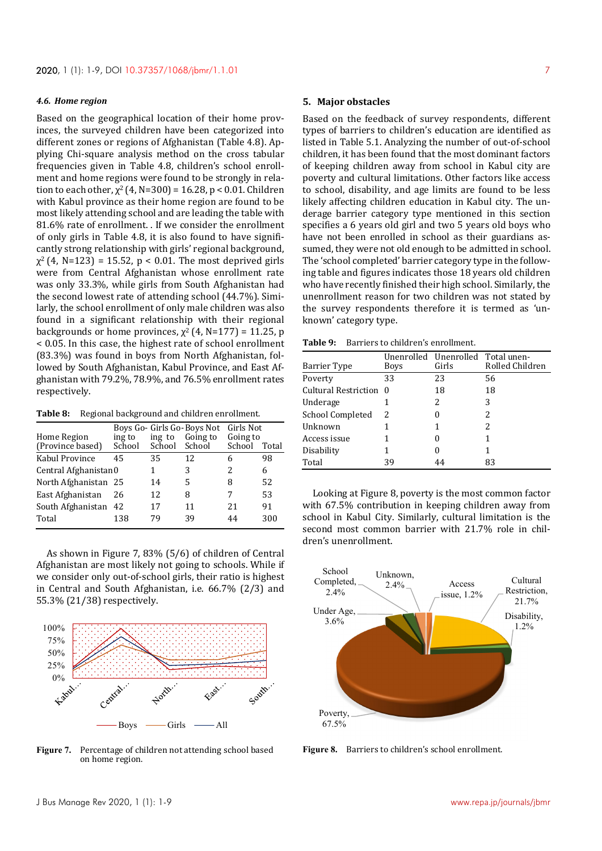## *4.6. Home region*

Based on the geographical location of their home provinces, the surveyed children have been categorized into different zones or regions of Afghanistan (Table 4.8). Applying Chi-square analysis method on the cross tabular frequencies given in Table 4.8, children's school enrollment and home regions were found to be strongly in relation to each other,  $\chi^2$  (4, N=300) = 16.28, p < 0.01. Children with Kabul province as their home region are found to be most likely attending school and are leading the table with 81.6% rate of enrollment. . If we consider the enrollment of only girls in Table 4.8, it is also found to have significantly strong relationship with girls' regional background,  $\chi^2$  (4, N=123) = 15.52, p < 0.01. The most deprived girls were from Central Afghanistan whose enrollment rate was only 33.3%, while girls from South Afghanistan had the second lowest rate of attending school (44.7%). Similarly, the school enrollment of only male children was also found in a significant relationship with their regional backgrounds or home provinces,  $\chi^2$  (4, N=177) = 11.25, p < 0.05. In this case, the highest rate of school enrollment (83.3%) was found in boys from North Afghanistan, followed by South Afghanistan, Kabul Province, and East Afghanistan with 79.2%, 78.9%, and 76.5% enrollment rates respectively.

**Table 8:** Regional background and children enrollment.

| Home Region          | ing to | ing to | Boys Go- Girls Go-Boys Not<br>Going to | Girls Not<br>Going to |       |
|----------------------|--------|--------|----------------------------------------|-----------------------|-------|
| (Province based)     | School | School | School                                 | School                | Total |
| Kabul Province       | 45     | 35     | 12                                     | 6                     | 98    |
| Central Afghanistan0 |        |        | 3                                      | 2                     | 6     |
| North Afghanistan 25 |        | 14     | 5                                      | 8                     | 52    |
| East Afghanistan     | 26     | 12     | 8                                      |                       | 53    |
| South Afghanistan 42 |        | 17     | 11                                     | 21                    | 91    |
| Total                | 138    | 79     | 39                                     | 44                    | 300   |

As shown in Figure 7, 83% (5/6) of children of Central Afghanistan are most likely not going to schools. While if we consider only out-of-school girls, their ratio is highest in Central and South Afghanistan, i.e. 66.7% (2/3) and 55.3% (21/38) respectively.



**Figure 7.** Percentage of children not attending school based on home region.

#### **5. Major obstacles**

Based on the feedback of survey respondents, different types of barriers to children's education are identified as listed in Table 5.1. Analyzing the number of out-of-school children, it has been found that the most dominant factors of keeping children away from school in Kabul city are poverty and cultural limitations. Other factors like access to school, disability, and age limits are found to be less likely affecting children education in Kabul city. The underage barrier category type mentioned in this section specifies a 6 years old girl and two 5 years old boys who have not been enrolled in school as their guardians assumed, they were not old enough to be admitted in school. The 'school completed' barrier category type in the following table and figures indicates those 18 years old children who have recently finished their high school. Similarly, the unenrollment reason for two children was not stated by the survey respondents therefore it is termed as 'unknown' category type.

| Table 9: | Barriers to children's enrollment. |
|----------|------------------------------------|
|          |                                    |

| Barrier Type           | Boys | Unenrolled Unenrolled Total unen-<br>Girls | Rolled Children |
|------------------------|------|--------------------------------------------|-----------------|
| Poverty                | 33   | 23                                         | 56              |
| Cultural Restriction 0 |      | 18                                         | 18              |
| Underage               |      | 2                                          | 3               |
| School Completed       | 2    | 0                                          | 2               |
| Unknown                |      | 1                                          | 2               |
| Access issue           |      | 0                                          | 1               |
| Disability             | 1    | 0                                          | 1               |
| Total                  | 39   | 44                                         | 83              |

Looking at Figure 8, poverty is the most common factor with 67.5% contribution in keeping children away from school in Kabul City. Similarly, cultural limitation is the second most common barrier with 21.7% role in children's unenrollment.



**Figure 8.** Barriers to children's school enrollment.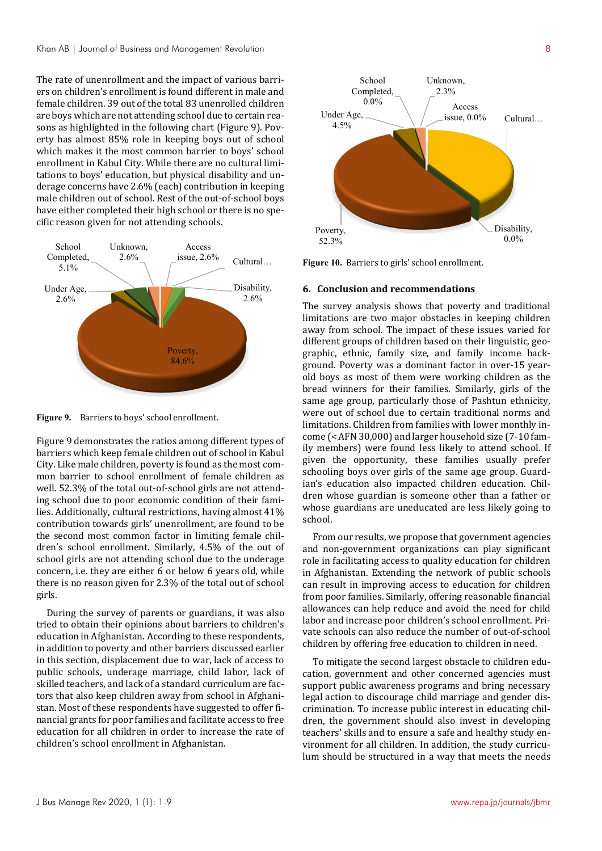The rate of unenrollment and the impact of various barriers on children's enrollment is found different in male and female children. 39 out of the total 83 unenrolled children are boys which are not attending school due to certain reasons as highlighted in the following chart (Figure 9). Poverty has almost 85% role in keeping boys out of school which makes it the most common barrier to boys' school enrollment in Kabul City. While there are no cultural limitations to boys' education, but physical disability and underage concerns have 2.6% (each) contribution in keeping male children out of school. Rest of the out-of-school boys have either completed their high school or there is no specific reason given for not attending schools.



**Figure 9.** Barriers to boys' school enrollment.

Figure 9 demonstrates the ratios among different types of barriers which keep female children out of school in Kabul City. Like male children, poverty is found as the most common barrier to school enrollment of female children as well. 52.3% of the total out-of-school girls are not attending school due to poor economic condition of their families. Additionally, cultural restrictions, having almost 41% contribution towards girls' unenrollment, are found to be the second most common factor in limiting female children's school enrollment. Similarly, 4.5% of the out of school girls are not attending school due to the underage concern, i.e. they are either 6 or below 6 years old, while there is no reason given for 2.3% of the total out of school girls.

During the survey of parents or guardians, it was also tried to obtain their opinions about barriers to children's education in Afghanistan. According to these respondents, in addition to poverty and other barriers discussed earlier in this section, displacement due to war, lack of access to public schools, underage marriage, child labor, lack of skilled teachers, and lack of a standard curriculum are factors that also keep children away from school in Afghanistan. Most of these respondents have suggested to offer financial grants for poor families and facilitate access to free education for all children in order to increase the rate of children's school enrollment in Afghanistan.



**Figure 10.** Barriers to girls' school enrollment.

## **6. Conclusion and recommendations**

The survey analysis shows that poverty and traditional limitations are two major obstacles in keeping children away from school. The impact of these issues varied for different groups of children based on their linguistic, geographic, ethnic, family size, and family income background. Poverty was a dominant factor in over-15 yearold boys as most of them were working children as the bread winners for their families. Similarly, girls of the same age group, particularly those of Pashtun ethnicity, were out of school due to certain traditional norms and limitations. Children from families with lower monthly income (< AFN 30,000) and larger household size (7-10 family members) were found less likely to attend school. If given the opportunity, these families usually prefer schooling boys over girls of the same age group. Guardian's education also impacted children education. Children whose guardian is someone other than a father or whose guardians are uneducated are less likely going to school.

From our results, we propose that government agencies and non-government organizations can play significant role in facilitating access to quality education for children in Afghanistan. Extending the network of public schools can result in improving access to education for children from poor families. Similarly, offering reasonable financial allowances can help reduce and avoid the need for child labor and increase poor children's school enrollment. Private schools can also reduce the number of out-of-school children by offering free education to children in need.

To mitigate the second largest obstacle to children education, government and other concerned agencies must support public awareness programs and bring necessary legal action to discourage child marriage and gender discrimination. To increase public interest in educating children, the government should also invest in developing teachers' skills and to ensure a safe and healthy study environment for all children. In addition, the study curriculum should be structured in a way that meets the needs